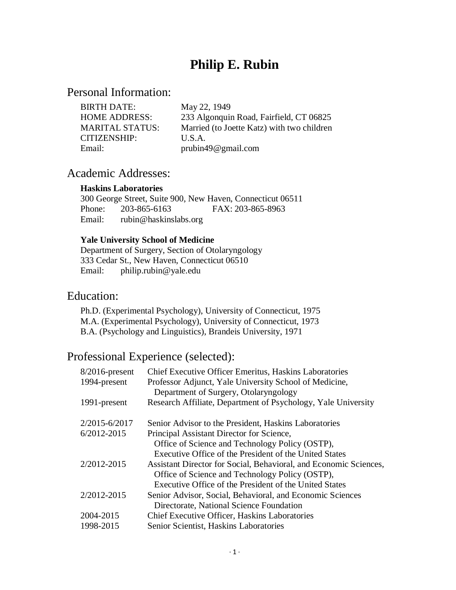# **Philip E. Rubin**

# Personal Information:

| <b>BIRTH DATE:</b>     | May 22, 1949                               |
|------------------------|--------------------------------------------|
| <b>HOME ADDRESS:</b>   | 233 Algonquin Road, Fairfield, CT 06825    |
| <b>MARITAL STATUS:</b> | Married (to Joette Katz) with two children |
| <b>CITIZENSHIP:</b>    | U.S.A.                                     |
| Email:                 | prubin49@gmail.com                         |

# Academic Addresses:

#### **Haskins Laboratories**

300 George Street, Suite 900, New Haven, Connecticut 06511 Phone: 203-865-6163 FAX: 203-865-8963 Email: rubin@haskinslabs.org

#### **Yale University School of Medicine**

Department of Surgery, Section of Otolaryngology 333 Cedar St., New Haven, Connecticut 06510 Email: philip.rubin@yale.edu

# Education:

Ph.D. (Experimental Psychology), University of Connecticut, 1975 M.A. (Experimental Psychology), University of Connecticut, 1973 B.A. (Psychology and Linguistics), Brandeis University, 1971

# Professional Experience (selected):

| $8/2016$ -present | Chief Executive Officer Emeritus, Haskins Laboratories            |
|-------------------|-------------------------------------------------------------------|
| 1994-present      | Professor Adjunct, Yale University School of Medicine,            |
|                   | Department of Surgery, Otolaryngology                             |
| 1991-present      | Research Affiliate, Department of Psychology, Yale University     |
| 2/2015-6/2017     | Senior Advisor to the President, Haskins Laboratories             |
| 6/2012-2015       | Principal Assistant Director for Science,                         |
|                   | Office of Science and Technology Policy (OSTP),                   |
|                   | Executive Office of the President of the United States            |
| 2/2012-2015       | Assistant Director for Social, Behavioral, and Economic Sciences, |
|                   | Office of Science and Technology Policy (OSTP),                   |
|                   | Executive Office of the President of the United States            |
| 2/2012-2015       | Senior Advisor, Social, Behavioral, and Economic Sciences         |
|                   | Directorate, National Science Foundation                          |
| 2004-2015         | Chief Executive Officer, Haskins Laboratories                     |
| 1998-2015         | Senior Scientist, Haskins Laboratories                            |
|                   |                                                                   |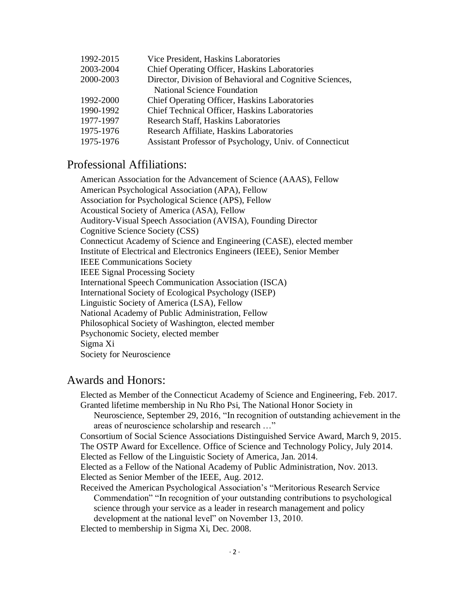| 1992-2015 | Vice President, Haskins Laboratories                     |
|-----------|----------------------------------------------------------|
| 2003-2004 | <b>Chief Operating Officer, Haskins Laboratories</b>     |
| 2000-2003 | Director, Division of Behavioral and Cognitive Sciences, |
|           | <b>National Science Foundation</b>                       |
| 1992-2000 | Chief Operating Officer, Haskins Laboratories            |
| 1990-1992 | Chief Technical Officer, Haskins Laboratories            |
| 1977-1997 | <b>Research Staff, Haskins Laboratories</b>              |
| 1975-1976 | Research Affiliate, Haskins Laboratories                 |
| 1975-1976 | Assistant Professor of Psychology, Univ. of Connecticut  |
|           |                                                          |

# Professional Affiliations:

American Association for the Advancement of Science (AAAS), Fellow American Psychological Association (APA), Fellow Association for Psychological Science (APS), Fellow Acoustical Society of America (ASA), Fellow Auditory-Visual Speech Association (AVISA), Founding Director Cognitive Science Society (CSS) Connecticut Academy of Science and Engineering (CASE), elected member Institute of Electrical and Electronics Engineers (IEEE), Senior Member IEEE Communications Society IEEE Signal Processing Society International Speech Communication Association (ISCA) International Society of Ecological Psychology (ISEP) Linguistic Society of America (LSA), Fellow National Academy of Public Administration, Fellow Philosophical Society of Washington, elected member Psychonomic Society, elected member Sigma Xi Society for Neuroscience

### Awards and Honors:

Elected as Member of the Connecticut Academy of Science and Engineering, Feb. 2017. Granted lifetime membership in Nu Rho Psi, The National Honor Society in

Neuroscience, September 29, 2016, "In recognition of outstanding achievement in the areas of neuroscience scholarship and research …"

Consortium of Social Science Associations Distinguished Service Award, March 9, 2015. The OSTP Award for Excellence. Office of Science and Technology Policy, July 2014. Elected as Fellow of the Linguistic Society of America, Jan. 2014.

Elected as a Fellow of the National Academy of Public Administration, Nov. 2013. Elected as Senior Member of the IEEE, Aug. 2012.

Received the American Psychological Association's "Meritorious Research Service Commendation" "In recognition of your outstanding contributions to psychological science through your service as a leader in research management and policy development at the national level" on November 13, 2010.

Elected to membership in Sigma Xi, Dec. 2008.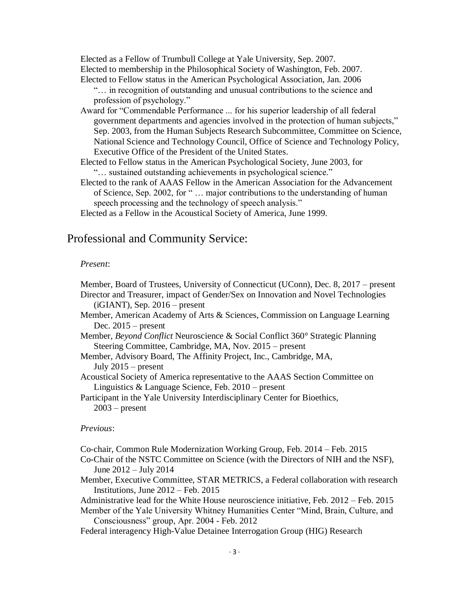Elected as a Fellow of Trumbull College at Yale University, Sep. 2007. Elected to membership in the Philosophical Society of Washington, Feb. 2007. Elected to Fellow status in the American Psychological Association, Jan. 2006

- "… in recognition of outstanding and unusual contributions to the science and profession of psychology."
- Award for "Commendable Performance ... for his superior leadership of all federal government departments and agencies involved in the protection of human subjects," Sep. 2003, from the Human Subjects Research Subcommittee, Committee on Science, National Science and Technology Council, Office of Science and Technology Policy, Executive Office of the President of the United States.
- Elected to Fellow status in the American Psychological Society, June 2003, for "… sustained outstanding achievements in psychological science."
- Elected to the rank of AAAS Fellow in the American Association for the Advancement of Science, Sep. 2002, for " … major contributions to the understanding of human speech processing and the technology of speech analysis."

Elected as a Fellow in the Acoustical Society of America, June 1999.

### Professional and Community Service:

#### *Present*:

Member, Board of Trustees, University of Connecticut (UConn), Dec. 8, 2017 – present Director and Treasurer, impact of Gender/Sex on Innovation and Novel Technologies  $(iGIANT)$ , Sep. 2016 – present

Member, American Academy of Arts & Sciences, Commission on Language Learning Dec.  $2015$  – present

- Member, *Beyond Conflict* Neuroscience & Social Conflict 360° Strategic Planning Steering Committee, Cambridge, MA, Nov. 2015 – present
- Member, Advisory Board, The Affinity Project, Inc., Cambridge, MA, July 2015 – present

Acoustical Society of America representative to the AAAS Section Committee on Linguistics & Language Science, Feb. 2010 – present

Participant in the Yale University Interdisciplinary Center for Bioethics,  $2003$  – present

#### *Previous*:

Co-chair, Common Rule Modernization Working Group, Feb. 2014 – Feb. 2015

- Co-Chair of the NSTC Committee on Science (with the Directors of NIH and the NSF), June 2012 – July 2014
- Member, Executive Committee, STAR METRICS, a Federal collaboration with research Institutions, June 2012 – Feb. 2015

Administrative lead for the White House neuroscience initiative, Feb. 2012 – Feb. 2015

Member of the Yale University Whitney Humanities Center "Mind, Brain, Culture, and Consciousness" group, Apr. 2004 - Feb. 2012

Federal interagency High-Value Detainee Interrogation Group (HIG) Research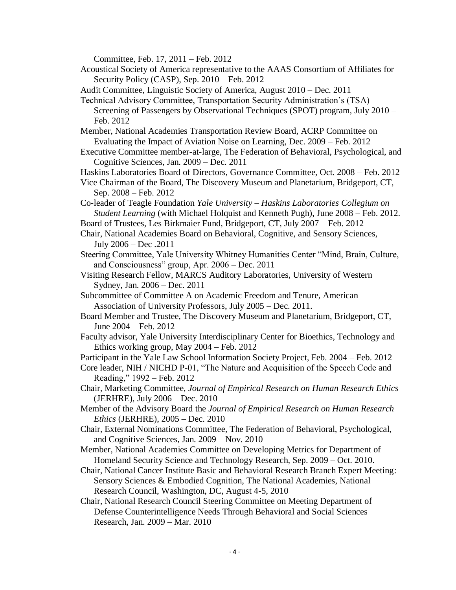Committee, Feb. 17, 2011 – Feb. 2012

- Acoustical Society of America representative to the AAAS Consortium of Affiliates for Security Policy (CASP), Sep. 2010 – Feb. 2012
- Audit Committee, Linguistic Society of America, August 2010 Dec. 2011
- Technical Advisory Committee, Transportation Security Administration's (TSA) Screening of Passengers by Observational Techniques (SPOT) program, July 2010 – Feb. 2012
- Member, National Academies Transportation Review Board, ACRP Committee on Evaluating the Impact of Aviation Noise on Learning, Dec. 2009 – Feb. 2012
- Executive Committee member-at-large, The Federation of Behavioral, Psychological, and Cognitive Sciences, Jan. 2009 – Dec. 2011
- Haskins Laboratories Board of Directors, Governance Committee, Oct. 2008 Feb. 2012
- Vice Chairman of the Board, The Discovery Museum and Planetarium, Bridgeport, CT, Sep. 2008 – Feb. 2012
- Co-leader of Teagle Foundation *Yale University – Haskins Laboratories Collegium on Student Learning* (with Michael Holquist and Kenneth Pugh), June 2008 – Feb. 2012.
- Board of Trustees, Les Birkmaier Fund, Bridgeport, CT, July 2007 Feb. 2012
- Chair, National Academies Board on Behavioral, Cognitive, and Sensory Sciences, July 2006 – Dec .2011
- Steering Committee, Yale University Whitney Humanities Center "Mind, Brain, Culture, and Consciousness" group, Apr. 2006 – Dec. 2011
- Visiting Research Fellow, MARCS Auditory Laboratories, University of Western Sydney, Jan. 2006 – Dec. 2011
- Subcommittee of Committee A on Academic Freedom and Tenure, American Association of University Professors, July 2005 – Dec. 2011.
- Board Member and Trustee, The Discovery Museum and Planetarium, Bridgeport, CT, June 2004 – Feb. 2012
- Faculty advisor, Yale University Interdisciplinary Center for Bioethics, Technology and Ethics working group, May 2004 – Feb. 2012
- Participant in the Yale Law School Information Society Project, Feb. 2004 Feb. 2012
- Core leader, NIH / NICHD P-01, "The Nature and Acquisition of the Speech Code and Reading," 1992 – Feb. 2012
- Chair, Marketing Committee, *Journal of Empirical Research on Human Research Ethics* (JERHRE), July 2006 – Dec. 2010
- Member of the Advisory Board the *Journal of Empirical Research on Human Research Ethics* (JERHRE), 2005 – Dec. 2010
- Chair, External Nominations Committee, The Federation of Behavioral, Psychological, and Cognitive Sciences, Jan. 2009 – Nov. 2010
- Member, National Academies Committee on Developing Metrics for Department of Homeland Security Science and Technology Research, Sep. 2009 – Oct. 2010.
- Chair, National Cancer Institute Basic and Behavioral Research Branch Expert Meeting: Sensory Sciences & Embodied Cognition, The National Academies, National Research Council, Washington, DC, August 4-5, 2010
- Chair, National Research Council Steering Committee on Meeting Department of Defense Counterintelligence Needs Through Behavioral and Social Sciences Research, Jan. 2009 – Mar. 2010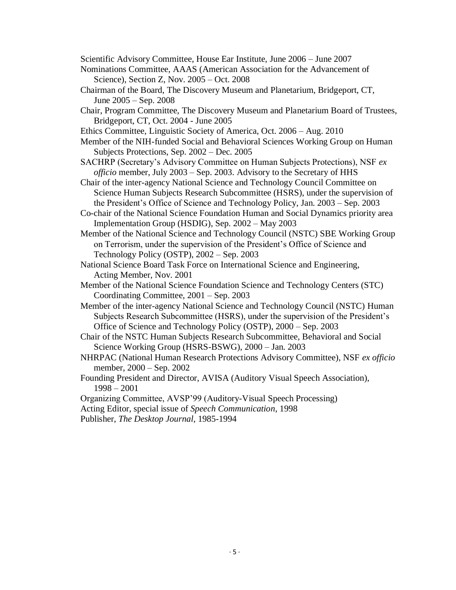Scientific Advisory Committee, House Ear Institute, June 2006 – June 2007

- Nominations Committee, AAAS (American Association for the Advancement of Science), Section Z, Nov. 2005 – Oct. 2008
- Chairman of the Board, The Discovery Museum and Planetarium, Bridgeport, CT, June 2005 – Sep. 2008
- Chair, Program Committee, The Discovery Museum and Planetarium Board of Trustees, Bridgeport, CT, Oct. 2004 - June 2005
- Ethics Committee, Linguistic Society of America, Oct. 2006 Aug. 2010
- Member of the NIH-funded Social and Behavioral Sciences Working Group on Human Subjects Protections, Sep. 2002 – Dec. 2005
- SACHRP (Secretary's Advisory Committee on Human Subjects Protections), NSF *ex officio* member, July 2003 – Sep. 2003. Advisory to the Secretary of HHS
- Chair of the inter-agency National Science and Technology Council Committee on Science Human Subjects Research Subcommittee (HSRS), under the supervision of the President's Office of Science and Technology Policy, Jan. 2003 – Sep. 2003
- Co-chair of the National Science Foundation Human and Social Dynamics priority area Implementation Group (HSDIG), Sep. 2002 – May 2003
- Member of the National Science and Technology Council (NSTC) SBE Working Group on Terrorism, under the supervision of the President's Office of Science and Technology Policy (OSTP), 2002 – Sep. 2003
- National Science Board Task Force on International Science and Engineering, Acting Member, Nov. 2001
- Member of the National Science Foundation Science and Technology Centers (STC) Coordinating Committee, 2001 – Sep. 2003
- Member of the inter-agency National Science and Technology Council (NSTC) Human Subjects Research Subcommittee (HSRS), under the supervision of the President's Office of Science and Technology Policy (OSTP), 2000 – Sep. 2003
- Chair of the NSTC Human Subjects Research Subcommittee, Behavioral and Social Science Working Group (HSRS-BSWG), 2000 – Jan. 2003
- NHRPAC (National Human Research Protections Advisory Committee), NSF *ex officio* member, 2000 – Sep. 2002
- Founding President and Director, AVISA (Auditory Visual Speech Association), 1998 – 2001
- Organizing Committee, AVSP'99 (Auditory-Visual Speech Processing)

Acting Editor, special issue of *Speech Communication*, 1998

Publisher, *The Desktop Journal*, 1985-1994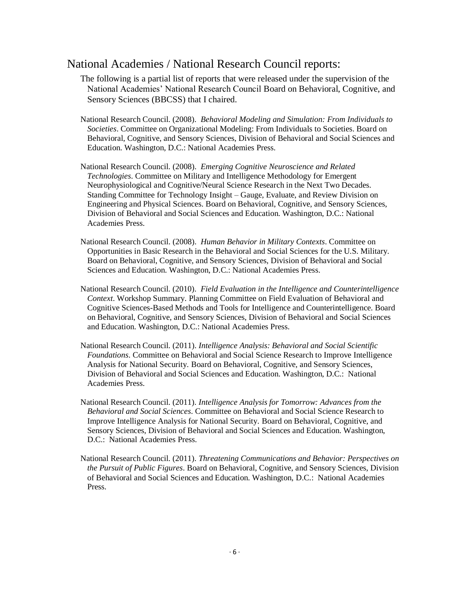### National Academies / National Research Council reports:

- The following is a partial list of reports that were released under the supervision of the National Academies' National Research Council Board on Behavioral, Cognitive, and Sensory Sciences (BBCSS) that I chaired.
- National Research Council. (2008). *Behavioral Modeling and Simulation: From Individuals to Societies*. Committee on Organizational Modeling: From Individuals to Societies. Board on Behavioral, Cognitive, and Sensory Sciences, Division of Behavioral and Social Sciences and Education. Washington, D.C.: National Academies Press.
- National Research Council. (2008). *Emerging Cognitive Neuroscience and Related Technologies*. Committee on Military and Intelligence Methodology for Emergent Neurophysiological and Cognitive/Neural Science Research in the Next Two Decades. Standing Committee for Technology Insight – Gauge, Evaluate, and Review Division on Engineering and Physical Sciences. Board on Behavioral, Cognitive, and Sensory Sciences, Division of Behavioral and Social Sciences and Education. Washington, D.C.: National Academies Press.
- National Research Council. (2008). *Human Behavior in Military Contexts*. Committee on Opportunities in Basic Research in the Behavioral and Social Sciences for the U.S. Military. Board on Behavioral, Cognitive, and Sensory Sciences, Division of Behavioral and Social Sciences and Education. Washington, D.C.: National Academies Press.
- National Research Council. (2010). *Field Evaluation in the Intelligence and Counterintelligence Context*. Workshop Summary. Planning Committee on Field Evaluation of Behavioral and Cognitive Sciences-Based Methods and Tools for Intelligence and Counterintelligence. Board on Behavioral, Cognitive, and Sensory Sciences, Division of Behavioral and Social Sciences and Education. Washington, D.C.: National Academies Press.
- National Research Council. (2011). *Intelligence Analysis: Behavioral and Social Scientific Foundations*. Committee on Behavioral and Social Science Research to Improve Intelligence Analysis for National Security. Board on Behavioral, Cognitive, and Sensory Sciences, Division of Behavioral and Social Sciences and Education. Washington, D.C.: National Academies Press.
- National Research Council. (2011). *Intelligence Analysis for Tomorrow: Advances from the Behavioral and Social Sciences*. Committee on Behavioral and Social Science Research to Improve Intelligence Analysis for National Security. Board on Behavioral, Cognitive, and Sensory Sciences, Division of Behavioral and Social Sciences and Education. Washington, D.C.: National Academies Press.
- National Research Council. (2011). *Threatening Communications and Behavior: Perspectives on the Pursuit of Public Figures*. Board on Behavioral, Cognitive, and Sensory Sciences, Division of Behavioral and Social Sciences and Education. Washington, D.C.: National Academies Press.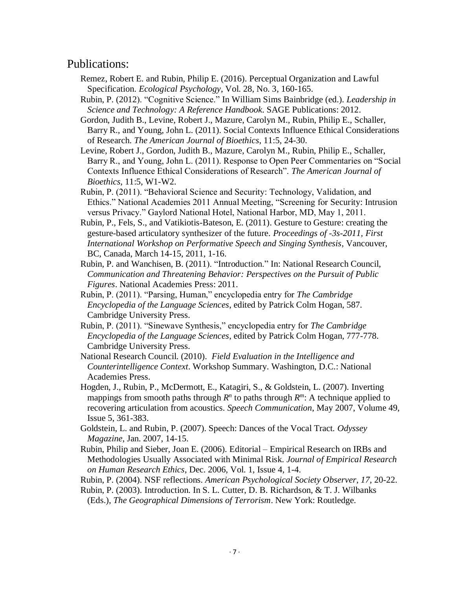### Publications:

- Remez, Robert E. and Rubin, Philip E. (2016). Perceptual Organization and Lawful Specification. *Ecological Psychology*, Vol. 28, No. 3*,* 160-165.
- Rubin, P. (2012). "Cognitive Science." In William Sims Bainbridge (ed.). *Leadership in Science and Technology: A Reference Handbook*. SAGE Publications: 2012.
- Gordon, Judith B., Levine, Robert J., Mazure, Carolyn M., Rubin, Philip E., Schaller, Barry R., and Young, John L. (2011). Social Contexts Influence Ethical Considerations of Research. *The American Journal of Bioethics*, 11:5, 24-30.
- Levine, Robert J., Gordon, Judith B., Mazure, Carolyn M., Rubin, Philip E., Schaller, Barry R., and Young, John L. (2011). Response to Open Peer Commentaries on "Social Contexts Influence Ethical Considerations of Research". *The American Journal of Bioethics*, 11:5, W1-W2.
- Rubin, P. (2011). "Behavioral Science and Security: Technology, Validation, and Ethics." National Academies 2011 Annual Meeting, "Screening for Security: Intrusion versus Privacy." Gaylord National Hotel, National Harbor, MD, May 1, 2011.
- Rubin, P., Fels, S., and Vatikiotis-Bateson, E. (2011). Gesture to Gesture: creating the gesture-based articulatory synthesizer of the future. *Proceedings of -3s-2011, First International Workshop on Performative Speech and Singing Synthesis*, Vancouver, BC, Canada, March 14-15, 2011, 1-16.
- Rubin, P. and Wanchisen, B. (2011). "Introduction." In: National Research Council, *Communication and Threatening Behavior: Perspectives on the Pursuit of Public Figures*. National Academies Press: 2011.
- Rubin, P. (2011). "Parsing, Human," encyclopedia entry for *The Cambridge Encyclopedia of the Language Sciences*, edited by Patrick Colm Hogan, 587. Cambridge University Press.
- Rubin, P. (2011). "Sinewave Synthesis," encyclopedia entry for *The Cambridge Encyclopedia of the Language Sciences*, edited by Patrick Colm Hogan, 777-778. Cambridge University Press.
- National Research Council. (2010). *Field Evaluation in the Intelligence and Counterintelligence Context*. Workshop Summary. Washington, D.C.: National Academies Press.
- Hogden, J., Rubin, P., McDermott, E., Katagiri, S., & Goldstein, L. (2007). Inverting mappings from smooth paths through  $R^n$  to paths through  $R^m$ : A technique applied to recovering articulation from acoustics. *Speech Communication*, May 2007, Volume 49, Issue 5, 361-383.
- Goldstein, L. and Rubin, P. (2007). Speech: Dances of the Vocal Tract. *Odyssey Magazine*, Jan. 2007, 14-15.
- Rubin, Philip and Sieber, Joan E. (2006). Editorial Empirical Research on IRBs and Methodologies Usually Associated with Minimal Risk. *Journal of Empirical Research on Human Research Ethics*, Dec. 2006, Vol. 1, Issue 4, 1-4.
- Rubin, P. (2004). NSF reflections. *American Psychological Society Observer*, *17*, 20-22.
- Rubin, P. (2003). Introduction. In S. L. Cutter, D. B. Richardson, & T. J. Wilbanks (Eds.), *The Geographical Dimensions of Terrorism*. New York: Routledge.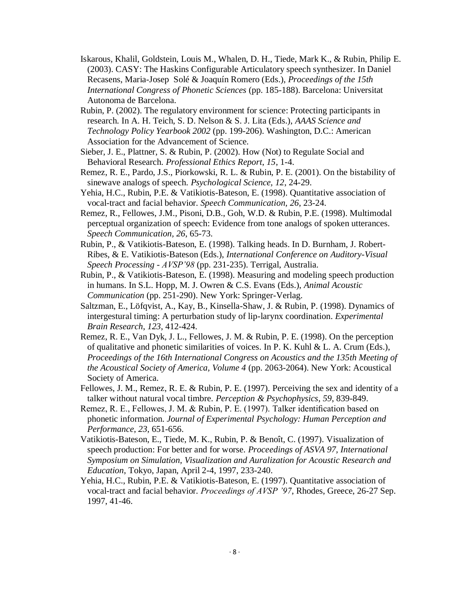- Iskarous, Khalil, Goldstein, Louis M., Whalen, D. H., Tiede, Mark K., & Rubin, Philip E. (2003). CASY: The Haskins Configurable Articulatory speech synthesizer. In Daniel Recasens, Maria-Josep Solé & Joaquín Romero (Eds.), *Proceedings of the 15th International Congress of Phonetic Sciences* (pp. 185-188). Barcelona: Universitat Autonoma de Barcelona.
- Rubin, P. (2002). The regulatory environment for science: Protecting participants in research. In A. H. Teich, S. D. Nelson & S. J. Lita (Eds.), *AAAS Science and Technology Policy Yearbook 2002* (pp. 199-206). Washington, D.C.: American Association for the Advancement of Science.
- Sieber, J. E., Plattner, S. & Rubin, P. (2002). How (Not) to Regulate Social and Behavioral Research. *Professional Ethics Report*, *15*, 1-4.
- Remez, R. E., Pardo, J.S., Piorkowski, R. L. & Rubin, P. E. (2001). On the bistability of sinewave analogs of speech. *Psychological Science, 12*, 24-29.
- Yehia, H.C., Rubin, P.E. & Vatikiotis-Bateson, E. (1998). Quantitative association of vocal-tract and facial behavior. *Speech Communication, 26*, 23-24.
- Remez, R., Fellowes, J.M., Pisoni, D.B., Goh, W.D. & Rubin, P.E. (1998). Multimodal perceptual organization of speech: Evidence from tone analogs of spoken utterances. *Speech Communication, 26*, 65-73.
- Rubin, P., & Vatikiotis-Bateson, E. (1998). Talking heads. In D. Burnham, J. Robert-Ribes, & E. Vatikiotis-Bateson (Eds.), *International Conference on Auditory-Visual Speech Processing - AVSP'98* (pp. 231-235). Terrigal, Australia.
- Rubin, P., & Vatikiotis-Bateson, E. (1998). Measuring and modeling speech production in humans. In S.L. Hopp, M. J. Owren & C.S. Evans (Eds.), *Animal Acoustic Communication* (pp. 251-290). New York: Springer-Verlag.
- Saltzman, E., Löfqvist, A., Kay, B., Kinsella-Shaw, J. & Rubin, P. (1998). Dynamics of intergestural timing: A perturbation study of lip-larynx coordination. *Experimental Brain Research*, *123*, 412-424.
- Remez, R. E., Van Dyk, J. L., Fellowes, J. M. & Rubin, P. E. (1998). On the perception of qualitative and phonetic similarities of voices. In P. K. Kuhl & L. A. Crum (Eds.), *Proceedings of the 16th International Congress on Acoustics and the 135th Meeting of the Acoustical Society of America, Volume 4* (pp. 2063-2064). New York: Acoustical Society of America.
- Fellowes, J. M., Remez, R. E. & Rubin, P. E. (1997). Perceiving the sex and identity of a talker without natural vocal timbre. *Perception & Psychophysics*, *59*, 839-849.
- Remez, R. E., Fellowes, J. M. & Rubin, P. E. (1997). Talker identification based on phonetic information. *Journal of Experimental Psychology: Human Perception and Performance*, *23*, 651-656.
- Vatikiotis-Bateson, E., Tiede, M. K., Rubin, P. & Benoît, C. (1997). Visualization of speech production: For better and for worse. *Proceedings of ASVA 97, International Symposium on Simulation, Visualization and Auralization for Acoustic Research and Education*, Tokyo, Japan, April 2-4, 1997, 233-240.
- Yehia, H.C., Rubin, P.E. & Vatikiotis-Bateson, E. (1997). Quantitative association of vocal-tract and facial behavior. *Proceedings of AVSP '97*, Rhodes, Greece, 26-27 Sep. 1997, 41-46.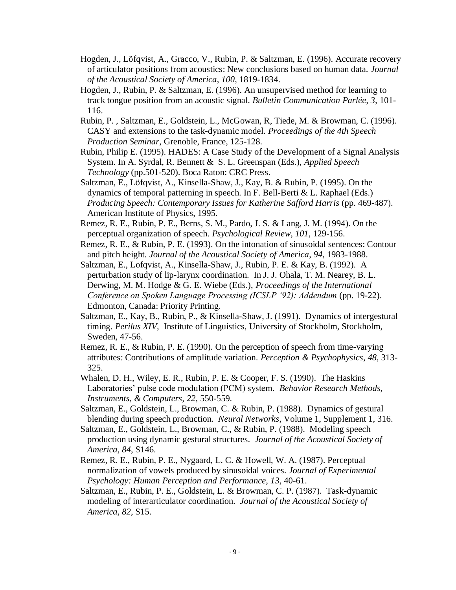- Hogden, J., Löfqvist, A., Gracco, V., Rubin, P. & Saltzman, E. (1996). Accurate recovery of articulator positions from acoustics: New conclusions based on human data. *Journal of the Acoustical Society of America*, *100*, 1819-1834.
- Hogden, J., Rubin, P. & Saltzman, E. (1996). An unsupervised method for learning to track tongue position from an acoustic signal. *Bulletin Communication Parlée, 3,* 101- 116.
- Rubin, P. , Saltzman, E., Goldstein, L., McGowan, R, Tiede, M. & Browman, C. (1996). CASY and extensions to the task-dynamic model. *Proceedings of the 4th Speech Production Seminar*, Grenoble, France, 125-128.
- Rubin, Philip E. (1995). HADES: A Case Study of the Development of a Signal Analysis System. In A. Syrdal, R. Bennett & S. L. Greenspan (Eds.), *Applied Speech Technology* (pp.501-520). Boca Raton: CRC Press.
- Saltzman, E., Löfqvist, A., Kinsella-Shaw, J., Kay, B. & Rubin, P. (1995). On the dynamics of temporal patterning in speech. In F. Bell-Berti & L. Raphael (Eds.) *Producing Speech: Contemporary Issues for Katherine Safford Harris (pp. 469-487).* American Institute of Physics, 1995.
- Remez, R. E., Rubin, P. E., Berns, S. M., Pardo, J. S. & Lang, J. M. (1994). On the perceptual organization of speech. *Psychological Review*, *101*, 129-156.
- Remez, R. E., & Rubin, P. E. (1993). On the intonation of sinusoidal sentences: Contour and pitch height. *Journal of the Acoustical Society of America*, *94*, 1983-1988.
- Saltzman, E., Lofqvist, A., Kinsella-Shaw, J., Rubin, P. E. & Kay, B. (1992). A perturbation study of lip-larynx coordination. In J. J. Ohala, T. M. Nearey, B. L. Derwing, M. M. Hodge & G. E. Wiebe (Eds.), *Proceedings of the International Conference on Spoken Language Processing (ICSLP '92): Addendum* (pp. 19-22). Edmonton, Canada: Priority Printing.
- Saltzman, E., Kay, B., Rubin, P., & Kinsella-Shaw, J. (1991)*.* Dynamics of intergestural timing. *Perilus XIV,* Institute of Linguistics, University of Stockholm, Stockholm, Sweden, 47-56.
- Remez, R. E., & Rubin, P. E. (1990). On the perception of speech from time-varying attributes: Contributions of amplitude variation. *Perception & Psychophysics*, *48*, 313- 325.
- Whalen, D. H., Wiley, E. R., Rubin, P. E. & Cooper, F. S. (1990). The Haskins Laboratories' pulse code modulation (PCM) system. *Behavior Research Methods, Instruments, & Computers, 22,* 550-559*.*
- Saltzman, E., Goldstein, L., Browman, C. & Rubin, P. (1988). Dynamics of gestural blending during speech production. *Neural Networks*, Volume 1, Supplement 1, 316.
- Saltzman, E., Goldstein, L., Browman, C., & Rubin, P. (1988). Modeling speech production using dynamic gestural structures. *Journal of the Acoustical Society of America, 84*, S146.
- Remez, R. E., Rubin, P. E., Nygaard, L. C. & Howell, W. A. (1987). Perceptual normalization of vowels produced by sinusoidal voices. *Journal of Experimental Psychology: Human Perception and Performance*, *13*, 40-61.
- Saltzman, E., Rubin, P. E., Goldstein, L. & Browman, C. P. (1987). Task-dynamic modeling of interarticulator coordination. *Journal of the Acoustical Society of America, 82*, S15.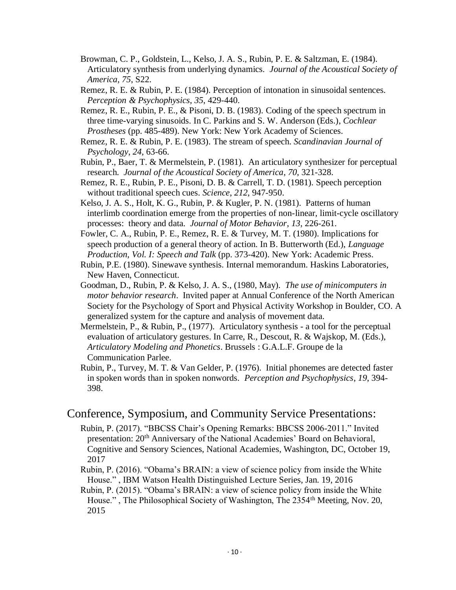- Browman, C. P., Goldstein, L., Kelso, J. A. S., Rubin, P. E. & Saltzman, E. (1984). Articulatory synthesis from underlying dynamics. *Journal of the Acoustical Society of America, 75*, S22.
- Remez, R. E. & Rubin, P. E. (1984). Perception of intonation in sinusoidal sentences. *Perception & Psychophysics*, *35*, 429-440.
- Remez, R. E., Rubin, P. E., & Pisoni, D. B. (1983). Coding of the speech spectrum in three time-varying sinusoids. In C. Parkins and S. W. Anderson (Eds.), *Cochlear Prostheses* (pp. 485-489). New York: New York Academy of Sciences.
- Remez, R. E. & Rubin, P. E. (1983). The stream of speech. *Scandinavian Journal of Psychology*, *24*, 63-66.
- Rubin, P., Baer, T. & Mermelstein, P. (1981). An articulatory synthesizer for perceptual research. *Journal of the Acoustical Society of America*, *70*, 321-328.
- Remez, R. E., Rubin, P. E., Pisoni, D. B. & Carrell, T. D. (1981). Speech perception without traditional speech cues. *Science*, *212*, 947-950.
- Kelso, J. A. S., Holt, K. G., Rubin, P. & Kugler, P. N. (1981). Patterns of human interlimb coordination emerge from the properties of non-linear, limit-cycle oscillatory processes: theory and data. *Journal of Motor Behavior*, *13*, 226-261.
- Fowler, C. A., Rubin, P. E., Remez, R. E. & Turvey, M. T. (1980). Implications for speech production of a general theory of action. In B. Butterworth (Ed.), *Language Production, Vol. I: Speech and Talk* (pp. 373-420). New York: Academic Press.
- Rubin, P.E. (1980). Sinewave synthesis. Internal memorandum. Haskins Laboratories, New Haven, Connecticut.
- Goodman, D., Rubin, P. & Kelso, J. A. S., (1980, May). *The use of minicomputers in motor behavior research*. Invited paper at Annual Conference of the North American Society for the Psychology of Sport and Physical Activity Workshop in Boulder, CO. A generalized system for the capture and analysis of movement data.
- Mermelstein, P., & Rubin, P., (1977). Articulatory synthesis a tool for the perceptual evaluation of articulatory gestures. In Carre, R., Descout, R. & Wajskop, M. (Eds.), *Articulatory Modeling and Phonetics*. Brussels : G.A.L.F. Groupe de la Communication Parlee.

Rubin, P., Turvey, M. T. & Van Gelder, P. (1976). Initial phonemes are detected faster in spoken words than in spoken nonwords. *Perception and Psychophysics*, *19*, 394- 398.

#### Conference, Symposium, and Community Service Presentations:

- Rubin, P. (2017). "BBCSS Chair's Opening Remarks: BBCSS 2006-2011." Invited presentation: 20th Anniversary of the National Academies' Board on Behavioral, Cognitive and Sensory Sciences, National Academies, Washington, DC, October 19, 2017
- Rubin, P. (2016). "Obama's BRAIN: a view of science policy from inside the White House." , IBM Watson Health Distinguished Lecture Series, Jan. 19, 2016
- Rubin, P. (2015). "Obama's BRAIN: a view of science policy from inside the White House.", The Philosophical Society of Washington, The 2354<sup>th</sup> Meeting, Nov. 20, 2015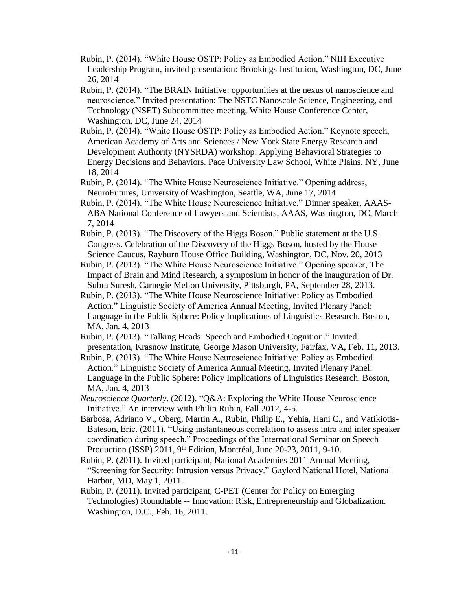- Rubin, P. (2014). "White House OSTP: Policy as Embodied Action." NIH Executive Leadership Program, invited presentation: Brookings Institution, Washington, DC, June 26, 2014
- Rubin, P. (2014). "The BRAIN Initiative: opportunities at the nexus of nanoscience and neuroscience." Invited presentation: The NSTC Nanoscale Science, Engineering, and Technology (NSET) Subcommittee meeting, White House Conference Center, Washington, DC, June 24, 2014
- Rubin, P. (2014). "White House OSTP: Policy as Embodied Action." Keynote speech, American Academy of Arts and Sciences / New York State Energy Research and Development Authority (NYSRDA) workshop: Applying Behavioral Strategies to Energy Decisions and Behaviors. Pace University Law School, White Plains, NY, June 18, 2014
- Rubin, P. (2014). "The White House Neuroscience Initiative." Opening address, NeuroFutures, University of Washington, Seattle, WA, June 17, 2014
- Rubin, P. (2014). "The White House Neuroscience Initiative." Dinner speaker, AAAS-ABA National Conference of Lawyers and Scientists, AAAS, Washington, DC, March 7, 2014
- Rubin, P. (2013). "The Discovery of the Higgs Boson." Public statement at the U.S. Congress. Celebration of the Discovery of the Higgs Boson, hosted by the House Science Caucus, Rayburn House Office Building, Washington, DC, Nov. 20, 2013
- Rubin, P. (2013). "The White House Neuroscience Initiative." Opening speaker, The Impact of Brain and Mind Research, a symposium in honor of the inauguration of Dr. Subra Suresh, Carnegie Mellon University, Pittsburgh, PA, September 28, 2013.
- Rubin, P. (2013). "The White House Neuroscience Initiative: Policy as Embodied Action." Linguistic Society of America Annual Meeting, Invited Plenary Panel: Language in the Public Sphere: Policy Implications of Linguistics Research. Boston, MA, Jan. 4, 2013
- Rubin, P. (2013). "Talking Heads: Speech and Embodied Cognition." Invited presentation, Krasnow Institute, George Mason University, Fairfax, VA, Feb. 11, 2013.
- Rubin, P. (2013). "The White House Neuroscience Initiative: Policy as Embodied Action." Linguistic Society of America Annual Meeting, Invited Plenary Panel: Language in the Public Sphere: Policy Implications of Linguistics Research. Boston, MA, Jan. 4, 2013
- *Neuroscience Quarterly*. (2012). "Q&A: Exploring the White House Neuroscience Initiative." An interview with Philip Rubin, Fall 2012, 4-5.
- Barbosa, Adriano V., Oberg, Martin A., Rubin, Philip E., Yehia, Hani C., and Vatikiotis-Bateson, Eric. (2011). "Using instantaneous correlation to assess intra and inter speaker coordination during speech." Proceedings of the International Seminar on Speech Production (ISSP) 2011, 9<sup>th</sup> Edition, Montréal, June 20-23, 2011, 9-10.
- Rubin, P. (2011). Invited participant, National Academies 2011 Annual Meeting, "Screening for Security: Intrusion versus Privacy." Gaylord National Hotel, National Harbor, MD, May 1, 2011.
- Rubin, P. (2011). Invited participant, C-PET (Center for Policy on Emerging Technologies) Roundtable -- Innovation: Risk, Entrepreneurship and Globalization. Washington, D.C., Feb. 16, 2011.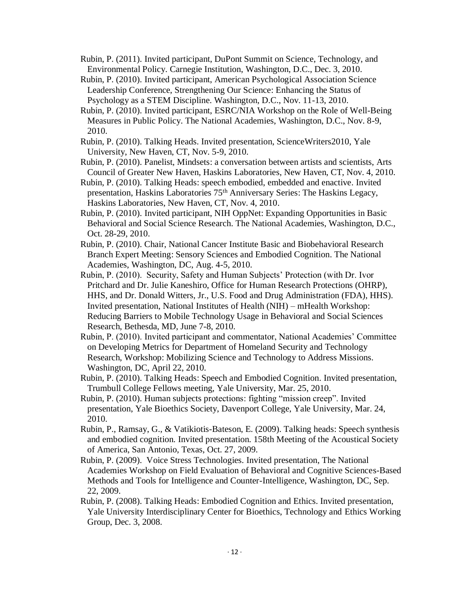- Rubin, P. (2011). Invited participant, DuPont Summit on Science, Technology, and Environmental Policy. Carnegie Institution, Washington, D.C., Dec. 3, 2010.
- Rubin, P. (2010). Invited participant, American Psychological Association Science Leadership Conference, Strengthening Our Science: Enhancing the Status of Psychology as a STEM Discipline. Washington, D.C., Nov. 11-13, 2010.
- Rubin, P. (2010). Invited participant, ESRC/NIA Workshop on the Role of Well-Being Measures in Public Policy. The National Academies, Washington, D.C., Nov. 8-9, 2010.
- Rubin, P. (2010). Talking Heads. Invited presentation, ScienceWriters2010, Yale University, New Haven, CT, Nov. 5-9, 2010.
- Rubin, P. (2010). Panelist, Mindsets: a conversation between artists and scientists, Arts Council of Greater New Haven, Haskins Laboratories, New Haven, CT, Nov. 4, 2010.
- Rubin, P. (2010). Talking Heads: speech embodied, embedded and enactive. Invited presentation, Haskins Laboratories 75th Anniversary Series: The Haskins Legacy, Haskins Laboratories, New Haven, CT, Nov. 4, 2010.
- Rubin, P. (2010). Invited participant, NIH OppNet: Expanding Opportunities in Basic Behavioral and Social Science Research. The National Academies, Washington, D.C., Oct. 28-29, 2010.
- Rubin, P. (2010). Chair, National Cancer Institute Basic and Biobehavioral Research Branch Expert Meeting: Sensory Sciences and Embodied Cognition. The National Academies, Washington, DC, Aug. 4-5, 2010.
- Rubin, P. (2010). Security, Safety and Human Subjects' Protection (with Dr. Ivor Pritchard and Dr. Julie Kaneshiro, Office for Human Research Protections (OHRP), HHS, and Dr. Donald Witters, Jr., U.S. Food and Drug Administration (FDA), HHS). Invited presentation, National Institutes of Health (NIH) – mHealth Workshop: Reducing Barriers to Mobile Technology Usage in Behavioral and Social Sciences Research, Bethesda, MD, June 7-8, 2010.
- Rubin, P. (2010). Invited participant and commentator, National Academies' Committee on Developing Metrics for Department of Homeland Security and Technology Research, Workshop: Mobilizing Science and Technology to Address Missions. Washington, DC, April 22, 2010.
- Rubin, P. (2010). Talking Heads: Speech and Embodied Cognition. Invited presentation, Trumbull College Fellows meeting, Yale University, Mar. 25, 2010.
- Rubin, P. (2010). Human subjects protections: fighting "mission creep". Invited presentation, Yale Bioethics Society, Davenport College, Yale University, Mar. 24, 2010.
- Rubin, P., Ramsay, G., & Vatikiotis-Bateson, E. (2009). Talking heads: Speech synthesis and embodied cognition. Invited presentation. 158th Meeting of the Acoustical Society of America, San Antonio, Texas, Oct. 27, 2009.
- Rubin, P. (2009). Voice Stress Technologies. Invited presentation, The National Academies Workshop on Field Evaluation of Behavioral and Cognitive Sciences-Based Methods and Tools for Intelligence and Counter-Intelligence, Washington, DC, Sep. 22, 2009.
- Rubin, P. (2008). Talking Heads: Embodied Cognition and Ethics. Invited presentation, Yale University Interdisciplinary Center for Bioethics, Technology and Ethics Working Group, Dec. 3, 2008.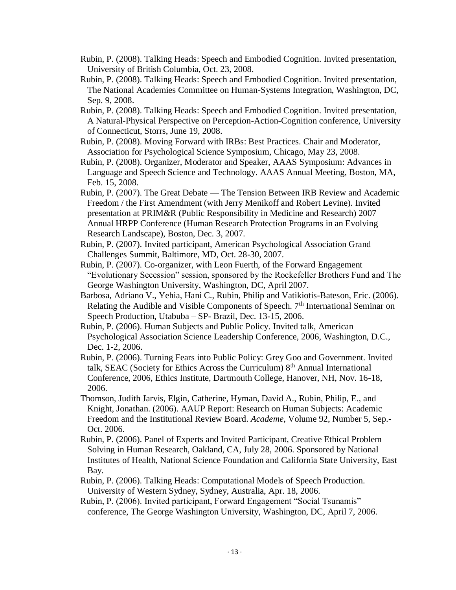- Rubin, P. (2008). Talking Heads: Speech and Embodied Cognition. Invited presentation, University of British Columbia, Oct. 23, 2008.
- Rubin, P. (2008). Talking Heads: Speech and Embodied Cognition. Invited presentation, The National Academies Committee on Human-Systems Integration, Washington, DC, Sep. 9, 2008.
- Rubin, P. (2008). Talking Heads: Speech and Embodied Cognition. Invited presentation, A Natural-Physical Perspective on Perception-Action-Cognition conference, University of Connecticut, Storrs, June 19, 2008.
- Rubin, P. (2008). Moving Forward with IRBs: Best Practices. Chair and Moderator, Association for Psychological Science Symposium, Chicago, May 23, 2008.
- Rubin, P. (2008). Organizer, Moderator and Speaker, AAAS Symposium: Advances in Language and Speech Science and Technology. AAAS Annual Meeting, Boston, MA, Feb. 15, 2008.
- Rubin, P. (2007). The Great Debate The Tension Between IRB Review and Academic Freedom / the First Amendment (with Jerry Menikoff and Robert Levine). Invited presentation at PRIM&R (Public Responsibility in Medicine and Research) 2007 Annual HRPP Conference (Human Research Protection Programs in an Evolving Research Landscape), Boston, Dec. 3, 2007.
- Rubin, P. (2007). Invited participant, American Psychological Association Grand Challenges Summit, Baltimore, MD, Oct. 28-30, 2007.
- Rubin, P. (2007). Co-organizer, with Leon Fuerth, of the Forward Engagement "Evolutionary Secession" session, sponsored by the Rockefeller Brothers Fund and The George Washington University, Washington, DC, April 2007.
- Barbosa, Adriano V., Yehia, Hani C., Rubin, Philip and Vatikiotis-Bateson, Eric. (2006). Relating the Audible and Visible Components of Speech. 7<sup>th</sup> International Seminar on Speech Production, Utabuba – SP- Brazil, Dec. 13-15, 2006.
- Rubin, P. (2006). Human Subjects and Public Policy. Invited talk, American Psychological Association Science Leadership Conference, 2006, Washington, D.C., Dec. 1-2, 2006.
- Rubin, P. (2006). Turning Fears into Public Policy: Grey Goo and Government. Invited talk, SEAC (Society for Ethics Across the Curriculum) 8<sup>th</sup> Annual International Conference, 2006, Ethics Institute, Dartmouth College, Hanover, NH, Nov. 16-18, 2006.
- Thomson, Judith Jarvis, Elgin, Catherine, Hyman, David A., Rubin, Philip, E., and Knight, Jonathan. (2006). AAUP Report: Research on Human Subjects: Academic Freedom and the Institutional Review Board. *Academe*, Volume 92, Number 5, Sep.- Oct. 2006.
- Rubin, P. (2006). Panel of Experts and Invited Participant, Creative Ethical Problem Solving in Human Research, Oakland, CA, July 28, 2006. Sponsored by National Institutes of Health, National Science Foundation and California State University, East Bay.
- Rubin, P. (2006). Talking Heads: Computational Models of Speech Production. University of Western Sydney, Sydney, Australia, Apr. 18, 2006.
- Rubin, P. (2006). Invited participant, Forward Engagement "Social Tsunamis" conference, The George Washington University, Washington, DC, April 7, 2006.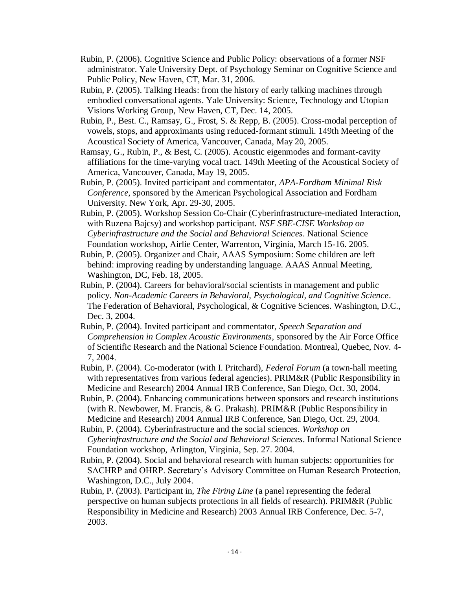- Rubin, P. (2006). Cognitive Science and Public Policy: observations of a former NSF administrator. Yale University Dept. of Psychology Seminar on Cognitive Science and Public Policy, New Haven, CT, Mar. 31, 2006.
- Rubin, P. (2005). Talking Heads: from the history of early talking machines through embodied conversational agents. Yale University: Science, Technology and Utopian Visions Working Group, New Haven, CT, Dec. 14, 2005.
- Rubin, P., Best. C., Ramsay, G., Frost, S. & Repp, B. (2005). Cross-modal perception of vowels, stops, and approximants using reduced-formant stimuli. 149th Meeting of the Acoustical Society of America, Vancouver, Canada, May 20, 2005.
- Ramsay, G., Rubin, P., & Best, C. (2005). Acoustic eigenmodes and formant-cavity affiliations for the time-varying vocal tract. 149th Meeting of the Acoustical Society of America, Vancouver, Canada, May 19, 2005.
- Rubin, P. (2005). Invited participant and commentator, *APA-Fordham Minimal Risk Conference*, sponsored by the American Psychological Association and Fordham University. New York, Apr. 29-30, 2005.
- Rubin, P. (2005). Workshop Session Co-Chair (Cyberinfrastructure-mediated Interaction, with Ruzena Bajcsy) and workshop participant. *NSF SBE-CISE Workshop on Cyberinfrastructure and the Social and Behavioral Sciences*. National Science Foundation workshop, Airlie Center, Warrenton, Virginia, March 15-16. 2005.
- Rubin, P. (2005). Organizer and Chair, AAAS Symposium: Some children are left behind: improving reading by understanding language. AAAS Annual Meeting, Washington, DC, Feb. 18, 2005.
- Rubin, P. (2004). Careers for behavioral/social scientists in management and public policy. *Non-Academic Careers in Behavioral, Psychological, and Cognitive Science*. The Federation of Behavioral, Psychological, & Cognitive Sciences. Washington, D.C., Dec. 3, 2004.
- Rubin, P. (2004). Invited participant and commentator, *Speech Separation and Comprehension in Complex Acoustic Environments*, sponsored by the Air Force Office of Scientific Research and the National Science Foundation. Montreal, Quebec, Nov. 4- 7, 2004.
- Rubin, P. (2004). Co-moderator (with I. Pritchard), *Federal Forum* (a town-hall meeting with representatives from various federal agencies). PRIM&R (Public Responsibility in Medicine and Research) 2004 Annual IRB Conference, San Diego, Oct. 30, 2004.
- Rubin, P. (2004). Enhancing communications between sponsors and research institutions (with R. Newbower, M. Francis, & G. Prakash). PRIM&R (Public Responsibility in Medicine and Research) 2004 Annual IRB Conference, San Diego, Oct. 29, 2004.
- Rubin, P. (2004). Cyberinfrastructure and the social sciences. *Workshop on Cyberinfrastructure and the Social and Behavioral Sciences*. Informal National Science Foundation workshop, Arlington, Virginia, Sep. 27. 2004.
- Rubin, P. (2004). Social and behavioral research with human subjects: opportunities for SACHRP and OHRP. Secretary's Advisory Committee on Human Research Protection, Washington, D.C., July 2004.
- Rubin, P. (2003). Participant in, *The Firing Line* (a panel representing the federal perspective on human subjects protections in all fields of research). PRIM&R (Public Responsibility in Medicine and Research) 2003 Annual IRB Conference, Dec. 5-7, 2003.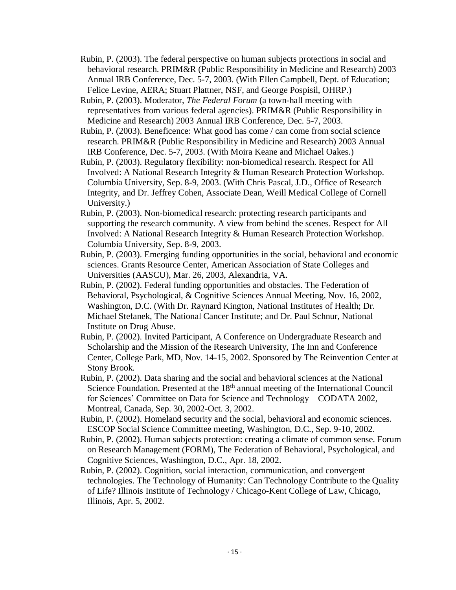- Rubin, P. (2003). The federal perspective on human subjects protections in social and behavioral research. PRIM&R (Public Responsibility in Medicine and Research) 2003 Annual IRB Conference, Dec. 5-7, 2003. (With Ellen Campbell, Dept. of Education; Felice Levine, AERA; Stuart Plattner, NSF, and George Pospisil, OHRP.)
- Rubin, P. (2003). Moderator, *The Federal Forum* (a town-hall meeting with representatives from various federal agencies). PRIM&R (Public Responsibility in Medicine and Research) 2003 Annual IRB Conference, Dec. 5-7, 2003.
- Rubin, P. (2003). Beneficence: What good has come / can come from social science research. PRIM&R (Public Responsibility in Medicine and Research) 2003 Annual IRB Conference, Dec. 5-7, 2003. (With Moira Keane and Michael Oakes.)
- Rubin, P. (2003). Regulatory flexibility: non-biomedical research. Respect for All Involved: A National Research Integrity & Human Research Protection Workshop. Columbia University, Sep. 8-9, 2003. (With Chris Pascal, J.D., Office of Research Integrity, and Dr. Jeffrey Cohen, Associate Dean, Weill Medical College of Cornell University.)
- Rubin, P. (2003). Non-biomedical research: protecting research participants and supporting the research community. A view from behind the scenes. Respect for All Involved: A National Research Integrity & Human Research Protection Workshop. Columbia University, Sep. 8-9, 2003.
- Rubin, P. (2003). Emerging funding opportunities in the social, behavioral and economic sciences. Grants Resource Center, American Association of State Colleges and Universities (AASCU), Mar. 26, 2003, Alexandria, VA.
- Rubin, P. (2002). Federal funding opportunities and obstacles. The Federation of Behavioral, Psychological, & Cognitive Sciences Annual Meeting, Nov. 16, 2002, Washington, D.C. (With Dr. Raynard Kington, National Institutes of Health; Dr. Michael Stefanek, The National Cancer Institute; and Dr. Paul Schnur, National Institute on Drug Abuse.
- Rubin, P. (2002). Invited Participant, A Conference on Undergraduate Research and Scholarship and the Mission of the Research University, The Inn and Conference Center, College Park, MD, Nov. 14-15, 2002. Sponsored by The Reinvention Center at Stony Brook.
- Rubin, P. (2002). Data sharing and the social and behavioral sciences at the National Science Foundation. Presented at the 18<sup>th</sup> annual meeting of the International Council for Sciences' Committee on Data for Science and Technology – CODATA 2002, Montreal, Canada, Sep. 30, 2002-Oct. 3, 2002.
- Rubin, P. (2002). Homeland security and the social, behavioral and economic sciences. ESCOP Social Science Committee meeting, Washington, D.C., Sep. 9-10, 2002.
- Rubin, P. (2002). Human subjects protection: creating a climate of common sense. Forum on Research Management (FORM), The Federation of Behavioral, Psychological, and Cognitive Sciences, Washington, D.C., Apr. 18, 2002.
- Rubin, P. (2002). Cognition, social interaction, communication, and convergent technologies. The Technology of Humanity: Can Technology Contribute to the Quality of Life? Illinois Institute of Technology / Chicago-Kent College of Law, Chicago, Illinois, Apr. 5, 2002.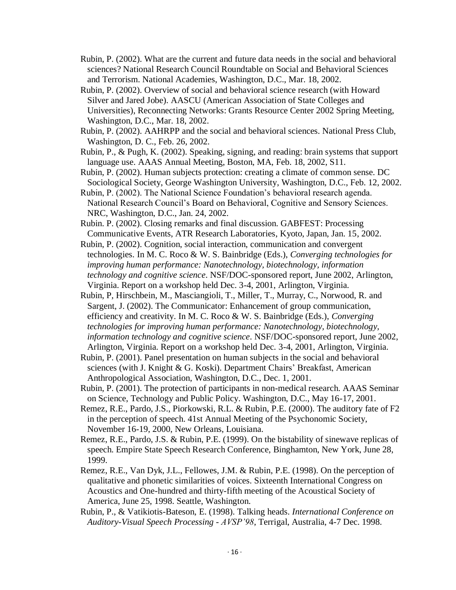- Rubin, P. (2002). What are the current and future data needs in the social and behavioral sciences? National Research Council Roundtable on Social and Behavioral Sciences and Terrorism. National Academies, Washington, D.C., Mar. 18, 2002.
- Rubin, P. (2002). Overview of social and behavioral science research (with Howard Silver and Jared Jobe). AASCU (American Association of State Colleges and Universities), Reconnecting Networks: Grants Resource Center 2002 Spring Meeting, Washington, D.C., Mar. 18, 2002.
- Rubin, P. (2002). AAHRPP and the social and behavioral sciences. National Press Club, Washington, D. C., Feb. 26, 2002.
- Rubin, P., & Pugh, K. (2002). Speaking, signing, and reading: brain systems that support language use. AAAS Annual Meeting, Boston, MA, Feb. 18, 2002, S11.
- Rubin, P. (2002). Human subjects protection: creating a climate of common sense. DC Sociological Society, George Washington University, Washington, D.C., Feb. 12, 2002.
- Rubin, P. (2002). The National Science Foundation's behavioral research agenda. National Research Council's Board on Behavioral, Cognitive and Sensory Sciences. NRC, Washington, D.C., Jan. 24, 2002.
- Rubin. P. (2002). Closing remarks and final discussion. GABFEST: Processing Communicative Events, ATR Research Laboratories, Kyoto, Japan, Jan. 15, 2002.
- Rubin, P. (2002). Cognition, social interaction, communication and convergent technologies. In M. C. Roco & W. S. Bainbridge (Eds.), *Converging technologies for improving human performance: Nanotechnology, biotechnology, information technology and cognitive science*. NSF/DOC-sponsored report, June 2002, Arlington, Virginia. Report on a workshop held Dec. 3-4, 2001, Arlington, Virginia.
- Rubin, P, Hirschbein, M., Masciangioli, T., Miller, T., Murray, C., Norwood, R. and Sargent, J. (2002). The Communicator: Enhancement of group communication, efficiency and creativity. In M. C. Roco & W. S. Bainbridge (Eds.), *Converging technologies for improving human performance: Nanotechnology, biotechnology, information technology and cognitive science*. NSF/DOC-sponsored report, June 2002, Arlington, Virginia. Report on a workshop held Dec. 3-4, 2001, Arlington, Virginia.
- Rubin, P. (2001). Panel presentation on human subjects in the social and behavioral sciences (with J. Knight & G. Koski). Department Chairs' Breakfast, American Anthropological Association, Washington, D.C., Dec. 1, 2001.
- Rubin, P. (2001). The protection of participants in non-medical research. AAAS Seminar on Science, Technology and Public Policy. Washington, D.C., May 16-17, 2001.
- Remez, R.E., Pardo, J.S., Piorkowski, R.L. & Rubin, P.E. (2000). The auditory fate of F2 in the perception of speech. 41st Annual Meeting of the Psychonomic Society, November 16-19, 2000, New Orleans, Louisiana.
- Remez, R.E., Pardo, J.S. & Rubin, P.E. (1999). On the bistability of sinewave replicas of speech. Empire State Speech Research Conference, Binghamton, New York, June 28, 1999.
- Remez, R.E., Van Dyk, J.L., Fellowes, J.M. & Rubin, P.E. (1998). On the perception of qualitative and phonetic similarities of voices. Sixteenth International Congress on Acoustics and One-hundred and thirty-fifth meeting of the Acoustical Society of America, June 25, 1998. Seattle, Washington.
- Rubin, P., & Vatikiotis-Bateson, E. (1998). Talking heads. *International Conference on Auditory-Visual Speech Processing - AVSP'98*, Terrigal, Australia, 4-7 Dec. 1998.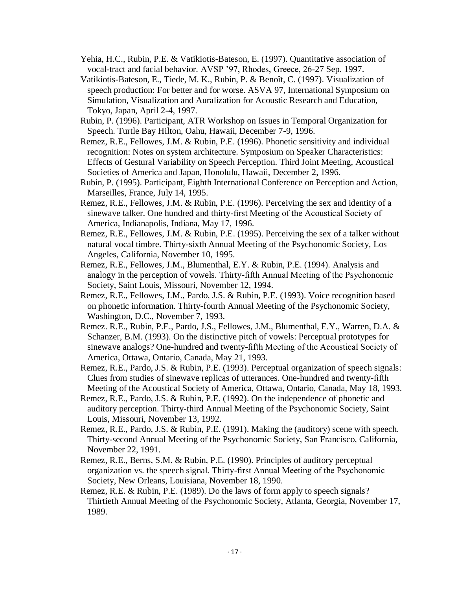- Yehia, H.C., Rubin, P.E. & Vatikiotis-Bateson, E. (1997). Quantitative association of vocal-tract and facial behavior. AVSP '97, Rhodes, Greece, 26-27 Sep. 1997.
- Vatikiotis-Bateson, E., Tiede, M. K., Rubin, P. & Benoît, C. (1997). Visualization of speech production: For better and for worse. ASVA 97, International Symposium on Simulation, Visualization and Auralization for Acoustic Research and Education, Tokyo, Japan, April 2-4, 1997.
- Rubin, P. (1996). Participant, ATR Workshop on Issues in Temporal Organization for Speech. Turtle Bay Hilton, Oahu, Hawaii, December 7-9, 1996.
- Remez, R.E., Fellowes, J.M. & Rubin, P.E. (1996). Phonetic sensitivity and individual recognition: Notes on system architecture. Symposium on Speaker Characteristics: Effects of Gestural Variability on Speech Perception. Third Joint Meeting, Acoustical Societies of America and Japan, Honolulu, Hawaii, December 2, 1996.
- Rubin, P. (1995). Participant, Eighth International Conference on Perception and Action, Marseilles, France, July 14, 1995.
- Remez, R.E., Fellowes, J.M. & Rubin, P.E. (1996). Perceiving the sex and identity of a sinewave talker. One hundred and thirty-first Meeting of the Acoustical Society of America, Indianapolis, Indiana, May 17, 1996.
- Remez, R.E., Fellowes, J.M. & Rubin, P.E. (1995). Perceiving the sex of a talker without natural vocal timbre. Thirty-sixth Annual Meeting of the Psychonomic Society, Los Angeles, California, November 10, 1995.
- Remez, R.E., Fellowes, J.M., Blumenthal, E.Y. & Rubin, P.E. (1994). Analysis and analogy in the perception of vowels. Thirty-fifth Annual Meeting of the Psychonomic Society, Saint Louis, Missouri, November 12, 1994.
- Remez, R.E., Fellowes, J.M., Pardo, J.S. & Rubin, P.E. (1993). Voice recognition based on phonetic information. Thirty-fourth Annual Meeting of the Psychonomic Society, Washington, D.C., November 7, 1993.
- Remez. R.E., Rubin, P.E., Pardo, J.S., Fellowes, J.M., Blumenthal, E.Y., Warren, D.A. & Schanzer, B.M. (1993). On the distinctive pitch of vowels: Perceptual prototypes for sinewave analogs? One-hundred and twenty-fifth Meeting of the Acoustical Society of America, Ottawa, Ontario, Canada, May 21, 1993.
- Remez, R.E., Pardo, J.S. & Rubin, P.E. (1993). Perceptual organization of speech signals: Clues from studies of sinewave replicas of utterances. One-hundred and twenty-fifth Meeting of the Acoustical Society of America, Ottawa, Ontario, Canada, May 18, 1993.
- Remez, R.E., Pardo, J.S. & Rubin, P.E. (1992). On the independence of phonetic and auditory perception. Thirty-third Annual Meeting of the Psychonomic Society, Saint Louis, Missouri, November 13, 1992.
- Remez, R.E., Pardo, J.S. & Rubin, P.E. (1991). Making the (auditory) scene with speech. Thirty-second Annual Meeting of the Psychonomic Society, San Francisco, California, November 22, 1991.
- Remez, R.E., Berns, S.M. & Rubin, P.E. (1990). Principles of auditory perceptual organization vs. the speech signal. Thirty-first Annual Meeting of the Psychonomic Society, New Orleans, Louisiana, November 18, 1990.
- Remez, R.E. & Rubin, P.E. (1989). Do the laws of form apply to speech signals? Thirtieth Annual Meeting of the Psychonomic Society, Atlanta, Georgia, November 17, 1989.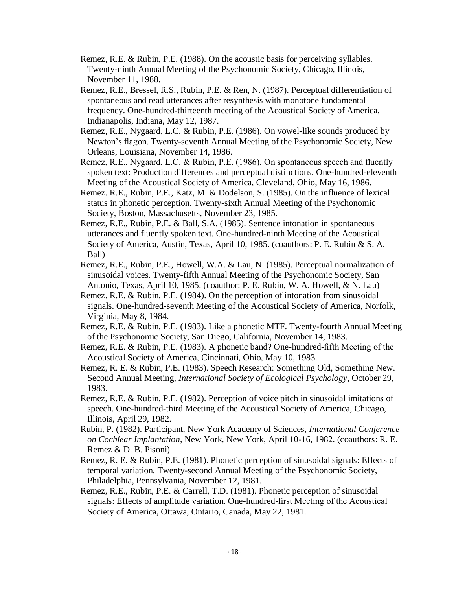- Remez, R.E. & Rubin, P.E. (1988). On the acoustic basis for perceiving syllables. Twenty-ninth Annual Meeting of the Psychonomic Society, Chicago, Illinois, November 11, 1988.
- Remez, R.E., Bressel, R.S., Rubin, P.E. & Ren, N. (1987). Perceptual differentiation of spontaneous and read utterances after resynthesis with monotone fundamental frequency. One-hundred-thirteenth meeting of the Acoustical Society of America, Indianapolis, Indiana, May 12, 1987.
- Remez, R.E., Nygaard, L.C. & Rubin, P.E. (1986). On vowel-like sounds produced by Newton's flagon. Twenty-seventh Annual Meeting of the Psychonomic Society, New Orleans, Louisiana, November 14, 1986.
- Remez, R.E., Nygaard, L.C. & Rubin, P.E. (1986). On spontaneous speech and fluently spoken text: Production differences and perceptual distinctions. One-hundred-eleventh Meeting of the Acoustical Society of America, Cleveland, Ohio, May 16, 1986.
- Remez. R.E., Rubin, P.E., Katz, M. & Dodelson, S. (1985). On the influence of lexical status in phonetic perception. Twenty-sixth Annual Meeting of the Psychonomic Society, Boston, Massachusetts, November 23, 1985.
- Remez, R.E., Rubin, P.E. & Ball, S.A. (1985). Sentence intonation in spontaneous utterances and fluently spoken text. One-hundred-ninth Meeting of the Acoustical Society of America, Austin, Texas, April 10, 1985. (coauthors: P. E. Rubin & S. A. Ball)
- Remez, R.E., Rubin, P.E., Howell, W.A. & Lau, N. (1985). Perceptual normalization of sinusoidal voices. Twenty-fifth Annual Meeting of the Psychonomic Society, San Antonio, Texas, April 10, 1985. (coauthor: P. E. Rubin, W. A. Howell, & N. Lau)
- Remez. R.E. & Rubin, P.E. (1984). On the perception of intonation from sinusoidal signals. One-hundred-seventh Meeting of the Acoustical Society of America, Norfolk, Virginia, May 8, 1984.
- Remez, R.E. & Rubin, P.E. (1983). Like a phonetic MTF. Twenty-fourth Annual Meeting of the Psychonomic Society, San Diego, California, November 14, 1983.
- Remez, R.E. & Rubin, P.E. (1983). A phonetic band? One-hundred-fifth Meeting of the Acoustical Society of America, Cincinnati, Ohio, May 10, 1983.
- Remez, R. E. & Rubin, P.E. (1983). Speech Research: Something Old, Something New. Second Annual Meeting, *International Society of Ecological Psychology*, October 29, 1983.
- Remez, R.E. & Rubin, P.E. (1982). Perception of voice pitch in sinusoidal imitations of speech. One-hundred-third Meeting of the Acoustical Society of America, Chicago, Illinois, April 29, 1982.
- Rubin, P. (1982). Participant, New York Academy of Sciences, *International Conference on Cochlear Implantation*, New York, New York, April 10-16, 1982. (coauthors: R. E. Remez & D. B. Pisoni)
- Remez, R. E. & Rubin, P.E. (1981). Phonetic perception of sinusoidal signals: Effects of temporal variation. Twenty-second Annual Meeting of the Psychonomic Society, Philadelphia, Pennsylvania, November 12, 1981.
- Remez, R.E., Rubin, P.E. & Carrell, T.D. (1981). Phonetic perception of sinusoidal signals: Effects of amplitude variation. One-hundred-first Meeting of the Acoustical Society of America, Ottawa, Ontario, Canada, May 22, 1981.